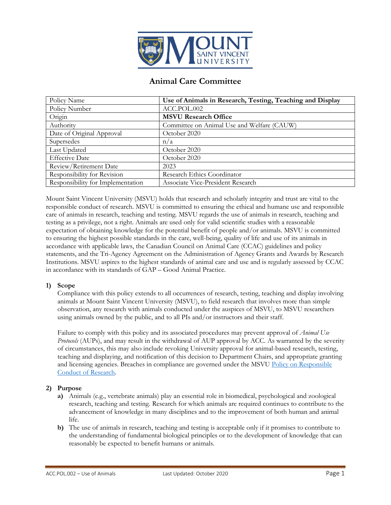

# **Animal Care Committee**

| Policy Name                       | Use of Animals in Research, Testing, Teaching and Display |
|-----------------------------------|-----------------------------------------------------------|
| Policy Number                     | ACC.POL.002                                               |
| Origin                            | <b>MSVU Research Office</b>                               |
| Authority                         | Committee on Animal Use and Welfare (CAUW)                |
| Date of Original Approval         | October 2020                                              |
| Supersedes                        | n/a                                                       |
| Last Updated                      | October 2020                                              |
| <b>Effective Date</b>             | October 2020                                              |
| Review/Retirement Date            | 2023                                                      |
| Responsibility for Revision       | Research Ethics Coordinator                               |
| Responsibility for Implementation | Associate Vice-President Research                         |

Mount Saint Vincent University (MSVU) holds that research and scholarly integrity and trust are vital to the responsible conduct of research. MSVU is committed to ensuring the ethical and humane use and responsible care of animals in research, teaching and testing. MSVU regards the use of animals in research, teaching and testing as a privilege, not a right. Animals are used only for valid scientific studies with a reasonable expectation of obtaining knowledge for the potential benefit of people and/or animals. MSVU is committed to ensuring the highest possible standards in the care, well-being, quality of life and use of its animals in accordance with applicable laws, the Canadian Council on Animal Care (CCAC) guidelines and policy statements, and the Tri-Agency Agreement on the Administration of Agency Grants and Awards by Research Institutions. MSVU aspires to the highest standards of animal care and use and is regularly assessed by CCAC in accordance with its standards of GAP – Good Animal Practice.

#### **1) Scope**

Compliance with this policy extends to all occurrences of research, testing, teaching and display involving animals at Mount Saint Vincent University (MSVU), to field research that involves more than simple observation, any research with animals conducted under the auspices of MSVU, to MSVU researchers using animals owned by the public, and to all PIs and/or instructors and their staff.

Failure to comply with this policy and its associated procedures may prevent approval of *Animal Use Protocols* (AUPs), and may result in the withdrawal of AUP approval by ACC. As warranted by the severity of circumstances, this may also include revoking University approval for animal-based research, testing, teaching and displaying, and notification of this decision to Department Chairs, and appropriate granting and licensing agencies. Breaches in compliance are governed under the MSVU [Policy on Responsible](http://ttps/www.msvu.ca/research-at-the-mount/about-us/integrity-in-research-scholarship/)  [Conduct of Research.](http://ttps/www.msvu.ca/research-at-the-mount/about-us/integrity-in-research-scholarship/)

#### **2) Purpose**

- **a)** Animals (e.g., vertebrate animals) play an essential role in biomedical, psychological and zoological research, teaching and testing. Research for which animals are required continues to contribute to the advancement of knowledge in many disciplines and to the improvement of both human and animal life.
- **b)** The use of animals in research, teaching and testing is acceptable only if it promises to contribute to the understanding of fundamental biological principles or to the development of knowledge that can reasonably be expected to benefit humans or animals.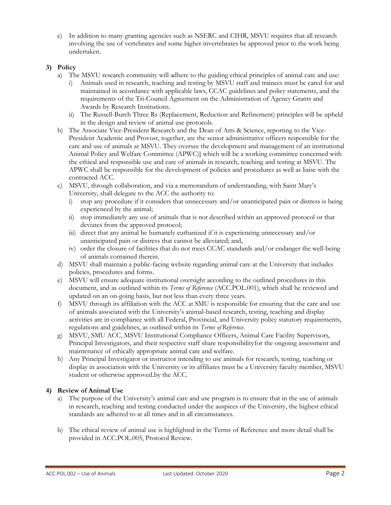c) In addition to many granting agencies such as NSERC and CIHR, MSVU requires that all research involving the use of vertebrates and some higher invertebrates be approved prior to the work being undertaken.

## **3) Policy**

- a) The MSVU research community will adhere to the guiding ethical principles of animal care and use:
	- i) Animals used in research, teaching and testing by MSVU staff and trainees must be cared for and maintained in accordance with applicable laws, CCAC guidelines and policy statements, and the requirements of the Tri-Council Agreement on the Administration of Agency Grants and Awards by Research Institutions.
	- ii) The Russell-Burch Three Rs (Replacement, Reduction and Refinement) principles will be upheld in the design and review of animal use protocols.
- b) The Associate Vice-President Research and the Dean of Arts & Science, reporting to the Vice-President Academic and Provost, together, are the senior administrative officers responsible for the care and use of animals at MSVU. They oversee the development and management of an institutional Animal Policy and Welfare Committee (APWC)] which will be a working committee concerned with the ethical and responsible use and care of animals in research, teaching and testing at MSVU. The APWC shall be responsible for the development of policies and procedures as well as liaise with the contracted ACC.
- c) MSVU, through collaboration, and via a memorandum of understanding, with Saint Mary's University, shall delegate to the ACC the authority to:
	- i) stop any procedure if it considers that unnecessary and/or unanticipated pain or distress is being experienced by the animal;
	- ii) stop immediately any use of animals that is not described within an approved protocol or that deviates from the approved protocol;
	- iii) direct that any animal be humanely euthanized if it is experiencing unnecessary and/or unanticipated pain or distress that cannot be alleviated; and,
	- iv) order the closure of facilities that do not meet CCAC standards and/or endanger the well-being of animals contained therein.
- d) MSVU shall maintain a public-facing website regarding animal care at the University that includes policies, procedures and forms.
- e) MSVU will ensure adequate institutional oversight according to the outlined procedures in this document, and as outlined within its *Terms of Reference* (ACC.POL.001), which shall be reviewed and updated on an on-going basis, but not less than every three years.
- f) MSVU through its affiliation with the ACC at SMU is responsible for ensuring that the care and use of animals associated with the University's animal-based research, testing, teaching and display activities are in compliance with all Federal, Provincial, and University policy statutory requirements, regulations and guidelines, as outlined within its *Terms of Reference*.
- g) MSVU, SMU ACC, MSVU Institutional Compliance Officers, Animal Care Facility Supervisors, Principal Investigators, and their respective staff share responsibilityfor the ongoing assessment and maintenance of ethically appropriate animal care and welfare.
- h) Any Principal Investigator or instructor intending to use animals for research, testing, teaching or display in association with the University or its affiliates must be a University faculty member, MSVU student or otherwise approved by the ACC.

#### **4) Review of Animal Use**

- a) The purpose of the University's animal care and use program is to ensure that in the use of animals in research, teaching and testing conducted under the auspices of the University, the highest ethical standards are adhered to at all times and in all circumstances.
- b) The ethical review of animal use is highlighted in the Terms of Reference and more detail shall be provided in ACC.POL.005, Protocol Review.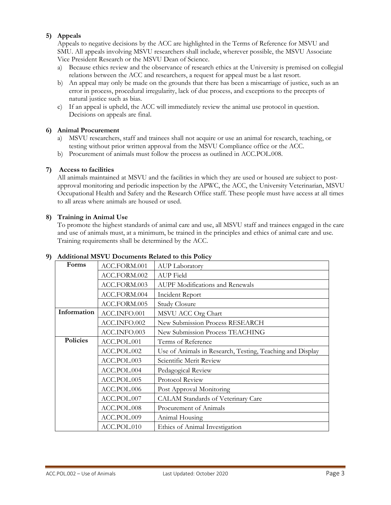## **5) Appeals**

Appeals to negative decisions by the ACC are highlighted in the Terms of Reference for MSVU and SMU. All appeals involving MSVU researchers shall include, wherever possible, the MSVU Associate Vice President Research or the MSVU Dean of Science.

- a) Because ethics review and the observance of research ethics at the University is premised on collegial relations between the ACC and researchers, a request for appeal must be a last resort.
- b) An appeal may only be made on the grounds that there has been a miscarriage of justice, such as an error in process, procedural irregularity, lack of due process, and exceptions to the precepts of natural justice such as bias.
- c) If an appeal is upheld, the ACC will immediately review the animal use protocol in question. Decisions on appeals are final.

#### **6) Animal Procurement**

- a) MSVU researchers, staff and trainees shall not acquire or use an animal for research, teaching, or testing without prior written approval from the MSVU Compliance office or the ACC.
- b) Procurement of animals must follow the process as outlined in ACC.POL.008.

#### **7) Access to facilities**

All animals maintained at MSVU and the facilities in which they are used or housed are subject to postapproval monitoring and periodic inspection by the APWC, the ACC, the University Veterinarian, MSVU Occupational Health and Safety and the Research Office staff. These people must have access at all times to all areas where animals are housed or used.

#### **8) Training in Animal Use**

To promote the highest standards of animal care and use, all MSVU staff and trainees engaged in the care and use of animals must, at a minimum, be trained in the principles and ethics of animal care and use. Training requirements shall be determined by the ACC.

#### **9) Additional MSVU Documents Related to this Policy**

| Forms           | ACC.FORM.001 | <b>AUP Laboratory</b>                                     |
|-----------------|--------------|-----------------------------------------------------------|
|                 | ACC.FORM.002 | AUP Field                                                 |
|                 | ACC.FORM.003 | <b>AUPF Modifications and Renewals</b>                    |
|                 | ACC.FORM.004 | Incident Report                                           |
|                 | ACC.FORM.005 | <b>Study Closure</b>                                      |
| Information     | ACC.INFO.001 | MSVU ACC Org Chart                                        |
|                 | ACC.INFO.002 | New Submission Process RESEARCH                           |
|                 | ACC.INFO.003 | New Submission Process TEACHING                           |
| <b>Policies</b> | ACC.POL.001  | Terms of Reference                                        |
|                 | ACC.POL.002  | Use of Animals in Research, Testing, Teaching and Display |
|                 |              |                                                           |
|                 | ACC.POL.003  | Scientific Merit Review                                   |
|                 | ACC.POL.004  | Pedagogical Review                                        |
|                 | ACC.POL.005  | Protocol Review                                           |
|                 | ACC.POL.006  | Post Approval Monitoring                                  |
|                 | ACC.POL.007  | CALAM Standards of Veterinary Care                        |
|                 | ACC.POL.008  | Procurement of Animals                                    |
|                 | ACC.POL.009  | Animal Housing                                            |